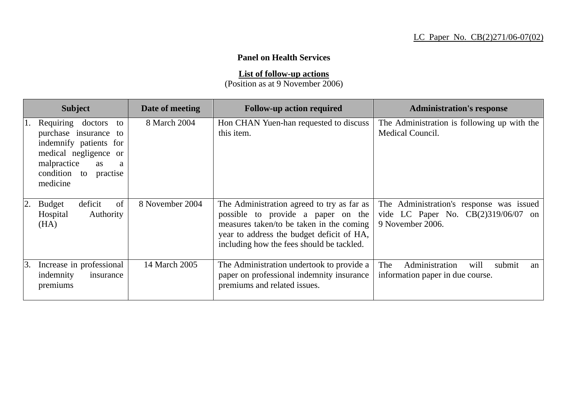## **Panel on Health Services**

**List of follow-up actions**

(Position as at 9 November 2006)

|    | <b>Subject</b>                                                                                                                                                     | Date of meeting | <b>Follow-up action required</b>                                                                                                                                                                                       | <b>Administration's response</b>                                                                      |
|----|--------------------------------------------------------------------------------------------------------------------------------------------------------------------|-----------------|------------------------------------------------------------------------------------------------------------------------------------------------------------------------------------------------------------------------|-------------------------------------------------------------------------------------------------------|
| 1. | Requiring doctors to<br>purchase insurance to<br>indemnify patients for<br>medical negligence or<br>malpractice<br>as<br>a<br>condition to<br>practise<br>medicine | 8 March 2004    | Hon CHAN Yuen-han requested to discuss<br>this item.                                                                                                                                                                   | The Administration is following up with the<br>Medical Council.                                       |
| 2. | of<br>deficit<br><b>Budget</b><br>Authority<br>Hospital<br>(HA)                                                                                                    | 8 November 2004 | The Administration agreed to try as far as<br>possible to provide a paper on the<br>measures taken/to be taken in the coming<br>year to address the budget deficit of HA,<br>including how the fees should be tackled. | The Administration's response was issued<br>vide LC Paper No. $CB(2)319/06/07$ on<br>9 November 2006. |
| 3. | Increase in professional<br>indemnity<br>insurance<br>premiums                                                                                                     | 14 March 2005   | The Administration undertook to provide a<br>paper on professional indemnity insurance<br>premiums and related issues.                                                                                                 | Administration<br>The<br>will<br>submit<br>an<br>information paper in due course.                     |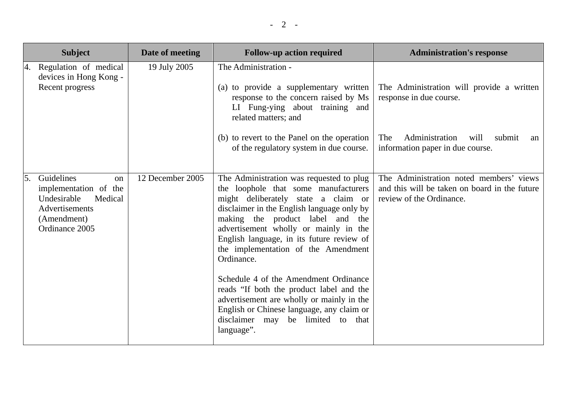| <b>Subject</b>                                                                                                                          | Date of meeting  | <b>Follow-up action required</b>                                                                                                                                                                                                                                                                                                                                                                                                                                                                                                                                                       | <b>Administration's response</b>                                                                                                                          |
|-----------------------------------------------------------------------------------------------------------------------------------------|------------------|----------------------------------------------------------------------------------------------------------------------------------------------------------------------------------------------------------------------------------------------------------------------------------------------------------------------------------------------------------------------------------------------------------------------------------------------------------------------------------------------------------------------------------------------------------------------------------------|-----------------------------------------------------------------------------------------------------------------------------------------------------------|
| Regulation of medical<br>4.<br>devices in Hong Kong -<br>Recent progress                                                                | 19 July 2005     | The Administration -<br>(a) to provide a supplementary written<br>response to the concern raised by Ms<br>LI Fung-ying about training and<br>related matters; and<br>(b) to revert to the Panel on the operation<br>of the regulatory system in due course.                                                                                                                                                                                                                                                                                                                            | The Administration will provide a written<br>response in due course.<br>The<br>Administration<br>will<br>submit<br>an<br>information paper in due course. |
| Guidelines<br>5.<br><sub>on</sub><br>implementation of the<br>Undesirable<br>Medical<br>Advertisements<br>(Amendment)<br>Ordinance 2005 | 12 December 2005 | The Administration was requested to plug<br>the loophole that some manufacturers<br>might deliberately state a claim or<br>disclaimer in the English language only by<br>making the product label and the<br>advertisement wholly or mainly in the<br>English language, in its future review of<br>the implementation of the Amendment<br>Ordinance.<br>Schedule 4 of the Amendment Ordinance<br>reads "If both the product label and the<br>advertisement are wholly or mainly in the<br>English or Chinese language, any claim or<br>disclaimer may be limited to that<br>language". | The Administration noted members' views<br>and this will be taken on board in the future<br>review of the Ordinance.                                      |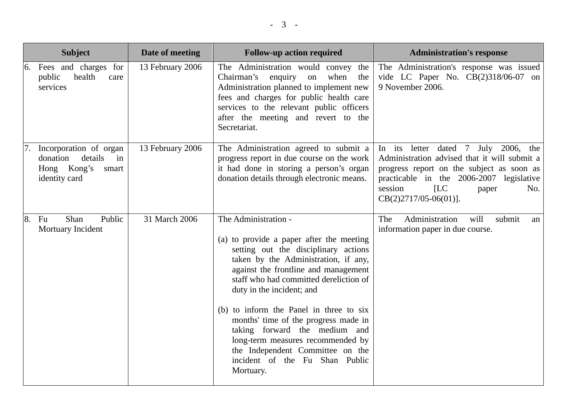|    | <b>Subject</b>                                                                               | Date of meeting  | <b>Follow-up action required</b>                                                                                                                                                                                                                                                                                                                                                                                                                                                                            | <b>Administration's response</b>                                                                                                                                                                                                            |
|----|----------------------------------------------------------------------------------------------|------------------|-------------------------------------------------------------------------------------------------------------------------------------------------------------------------------------------------------------------------------------------------------------------------------------------------------------------------------------------------------------------------------------------------------------------------------------------------------------------------------------------------------------|---------------------------------------------------------------------------------------------------------------------------------------------------------------------------------------------------------------------------------------------|
| 6. | Fees and charges for<br>health<br>public<br>care<br>services                                 | 13 February 2006 | The Administration would convey the<br>enquiry on<br>Chairman's<br>when<br>the<br>Administration planned to implement new<br>fees and charges for public health care<br>services to the relevant public officers<br>after the meeting and revert to the<br>Secretariat.                                                                                                                                                                                                                                     | The Administration's response was issued<br>vide LC Paper No. CB(2)318/06-07 on<br>9 November 2006.                                                                                                                                         |
| 7. | Incorporation of organ<br>details<br>donation<br>in<br>Hong Kong's<br>smart<br>identity card | 13 February 2006 | The Administration agreed to submit a<br>progress report in due course on the work<br>it had done in storing a person's organ<br>donation details through electronic means.                                                                                                                                                                                                                                                                                                                                 | In its letter dated 7 July 2006, the<br>Administration advised that it will submit a<br>progress report on the subject as soon as<br>practicable in the 2006-2007 legislative<br>ILC<br>session<br>No.<br>paper<br>$CB(2)2717/05-06(01)$ ]. |
| 8. | Shan<br>Public<br>Fu<br>Mortuary Incident                                                    | 31 March 2006    | The Administration -<br>(a) to provide a paper after the meeting<br>setting out the disciplinary actions<br>taken by the Administration, if any,<br>against the frontline and management<br>staff who had committed dereliction of<br>duty in the incident; and<br>(b) to inform the Panel in three to six<br>months' time of the progress made in<br>taking forward the medium and<br>long-term measures recommended by<br>the Independent Committee on the<br>incident of the Fu Shan Public<br>Mortuary. | Administration<br>will<br>submit<br>The<br>an<br>information paper in due course.                                                                                                                                                           |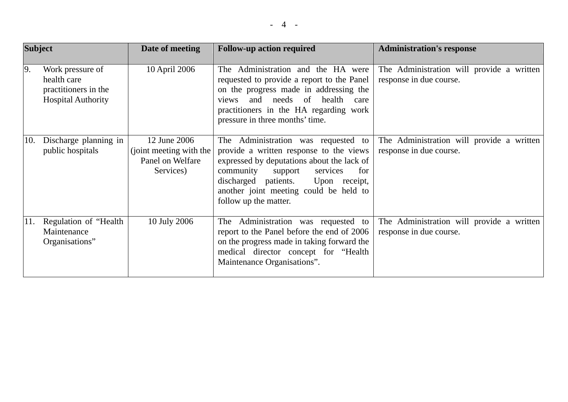| <b>Subject</b> |                                                                                      | Date of meeting                                                          | <b>Follow-up action required</b>                                                                                                                                                                                                                                                    | <b>Administration's response</b>                                     |
|----------------|--------------------------------------------------------------------------------------|--------------------------------------------------------------------------|-------------------------------------------------------------------------------------------------------------------------------------------------------------------------------------------------------------------------------------------------------------------------------------|----------------------------------------------------------------------|
| 9.             | Work pressure of<br>health care<br>practitioners in the<br><b>Hospital Authority</b> | 10 April 2006                                                            | Administration and the HA were<br>The <sub>1</sub><br>requested to provide a report to the Panel<br>on the progress made in addressing the<br>and needs of health<br>views<br>care<br>practitioners in the HA regarding work<br>pressure in three months' time.                     | The Administration will provide a written<br>response in due course. |
| 10.            | Discharge planning in<br>public hospitals                                            | 12 June 2006<br>(joint meeting with the<br>Panel on Welfare<br>Services) | The Administration was requested to<br>provide a written response to the views<br>expressed by deputations about the lack of<br>community<br>for<br>support<br>services<br>discharged patients.<br>Upon receipt,<br>another joint meeting could be held to<br>follow up the matter. | The Administration will provide a written<br>response in due course. |
| 11.            | Regulation of "Health"<br>Maintenance<br>Organisations"                              | 10 July 2006                                                             | The Administration was requested to<br>report to the Panel before the end of 2006<br>on the progress made in taking forward the<br>medical director concept for "Health"<br>Maintenance Organisations".                                                                             | The Administration will provide a written<br>response in due course. |